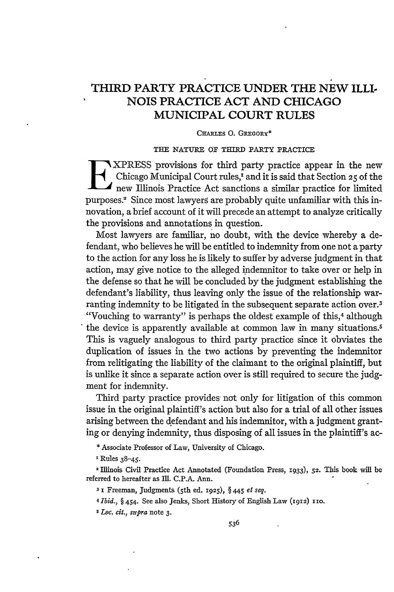# **THIRD PARTY PRACTICE UNDER THE NEW ILLI NOIS PRACTICE ACT AND CHICAGO MUNICIPAL COURT RULES**

### CHARits **0. GREGORY\***

#### **THE NATURE OF THIRD** PARTY PRACTICE

XPRESS provisions for third party practice appear in the new Chicago Municipal Court rules,' and it is said that Section **25** of the new Illinois Practice Act sanctions a similar practice for limited purposes.2 Since most lawyers are probably quite unfamiliar with this innovation, a brief account of it will precede an attempt to analyze critically the provisions and annotations in question.

Most lawyers are familiar, no doubt, with the device whereby a defendant, who believes he will be entitled to indemnity from one not a party to the action for any loss he is likely to suffer by adverse judgment in that action, may give notice to the alleged indemnitor to take over or help in the defense so that he will be concluded by the judgment establishing the defendant's liability, thus leaving only the issue of the relationship warranting indemnity to be litigated in the subsequent separate action over.<sup>3</sup> "Vouching to warranty" is perhaps the oldest example of this,<sup>4</sup> although the device is apparently available at common law in many situations.<sup>5</sup> This is vaguely analogous to third party practice since it obviates the duplication of issues in the two actions by preventing the indemnitor from relitigating the liability of the claimant to the original plaintiff, but is unlike it since a separate action over is still required to secure the judgment for indemnity.

Third party practice provides not only for litigation of this common issue in the original plaintiff's action but also for a trial of all other issues arising between the defendant and his indemnitor, with a judgment granting or denying indemnity, thus disposing of all issues in the plaintiff's ac-

**\*** Associate Professor of Law, University of Chicago.

x **Rules 38-45.**

2 Illinois Civil Practice Act Annotated (Foundation Press, **1933), 52.** This book will be referred to hereafter as Ill. **C.P.A.** Ann.

*31* Freeman, Judgments (5th **ed. 1925),** § 445 *et seq.*

*4 Ibid., §* 454. See also Jenks, Short History of English **Law** (1912) **110.**

*5 Loc. cit., supra* note **3.**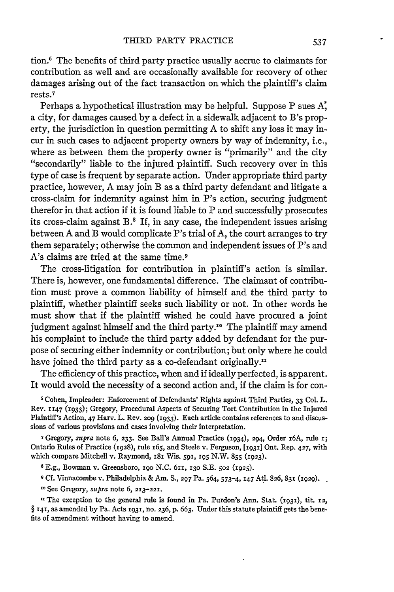tion.6 The benefits of third party practice usually accrue to claimants for contribution as well and are occasionally available for recovery of other damages arising out of the fact transaction on which the plaintiff's claim rests. <sup>7</sup>

Perhaps a hypothetical illustration may be helpful. Suppose P sues **X,** a city, for damages caused by a defect in a sidewalk adjacent to B's property, the jurisdiction in question permitting A to shift any loss it may incur in such cases to adjacent property owners by way of indemnity, i.e., where as between them the property owner is "primarily" and the city "secondarily" liable to the injured plaintiff. Such recovery over in this type of case is frequent by separate action. Under appropriate third party practice, however, A may join B as a third party defendant and litigate a cross-claim for indemnity against him in P's action, securing judgment therefor in that action if it is found liable to P and successfully prosecutes its cross-claim against  $B$ .<sup>8</sup> If, in any case, the independent issues arising between A and B would complicate P's trial of A, the court arranges to try them separately; otherwise the common and independent issues of P's and A's claims are tried at the same time.9

The cross-litigation for contribution in plaintiff's action is similar. There is, however, one fundamental difference. The claimant of contribution must prove a common liability of himself and the third party to plaintiff, whether plaintiff seeks such liability or not. In other words he must show that if the plaintiff wished he could have procured a joint judgment against himself and the third party.<sup>10</sup> The plaintiff may amend his complaint to include the third party added by defendant for the purpose of securing either indemnity or contribution; but only where he could have joined the third party as a co-defendant originally.<sup>11</sup>

The efficiency of this practice, when and if ideally perfected, is apparent. It would avoid the necessity of a second action and, if the claim is for con-

**6** Cohen, Impleader: Enforcement of Defendants' Rights against Third Parties, **33** Col. L. Rev. **1147** (1933); Gregory, Procedural Aspects of Securing Tort Contribution in the Injured Plaintiff's Action, 47 Harv. L. Rev. 209 (1933). Each article contains references to and discussions of various provisions and cases involving their interpretation.

**7** Gregory, *supra* note 6, **233.** See Ball's Annual Practice (1934), 294, Order i6A, rule i; Ontario Rules of Practice (1928), rule I65, and Steele v. Ferguson, **[1931]** Ont. Rep. 427, with which compare Mitchell v. Raymond, i81 Wis. 59I, **I95** N.W. **855** (1923).

**8** E.g., Bowman v. Greensboro, **i9<sup>o</sup>**N.C. 61i, **130** S.E. **502** (1925).

**9** Cf. Vinnacombe v. Philadelphia & Am. **S., 297** Pa. 564, 573-4, **147** Atl. 826, **831** (1929).

**<sup>10</sup>**See Gregory, *supra* note 6, **213-221.**

<sup>II</sup> The exception to the general rule is found in Pa. Purdon's Ann. Stat. (1931), tit. 12, § **141,** as amended by Pa. Acts **1931,** no. **236,** p. 663. Under this statute plaintiff gets the benefits of amendment without having to amend.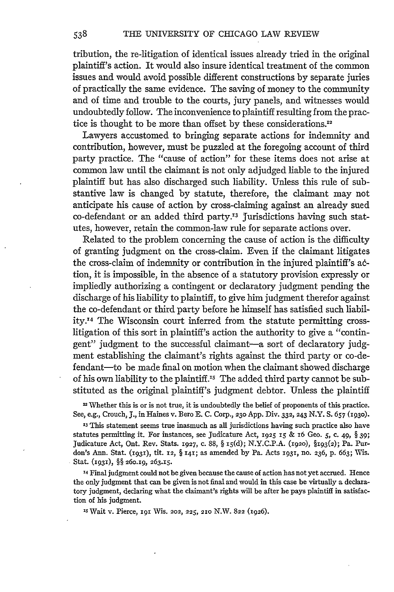tribution, the re-litigation of identical issues already tried in the original plaintiff's action. It would also insure identical treatment of the common issues and would avoid possible different constructions by separate juries of practically the same evidence. The saving of money to the community and of time and trouble to the courts, jury panels, and witnesses would undoubtedly follow. The inconvenience to plaintiff resulting from the practice is thought to be more than offset by these considerations **."**

Lawyers accustomed to bringing separate actions for indemnity and contribution, however, must be puzzled at the foregoing account of third party practice. The "cause of action" for these items does not arise at common law until the claimant is not only adjudged liable to the injured plaintiff but has also discharged such liability. Unless this rule of substantive law is changed by statute, therefore, the claimant may not anticipate his cause of action by cross-claiming against an already sued co-defendant or an added third party.<sup>13</sup> Jurisdictions having such statutes, however, retain the common-law rule for separate actions over.

Related to the problem concerning the cause of action is the difficulty of granting judgment on the cross-claim. Even if the claimant litigates the cross-claim of indemnity or contribution in the injured plaintiff's action, it is impossible, in the absence of a statutory provision expressly or impliedly authorizing a contingent or declaratory judgment pending the discharge of his liability to plaintiff, to give him judgment therefor against the co-defendant or third party before he himself has satisfied such liability. 4 The Wisconsin court inferred from the statute permitting crosslitigation of this sort in plaintiff's action the authority to give a "contingent" judgment to the successful claimant-a sort of declaratory judgment establishing the claimant's rights against the third party or co-defendant-to be made final on motion when the claimant showed discharge of his own liability to the plaintiff.'5 The added third party cannot be substituted as the original plaintiff's judgment debtor. Unless the plaintiff

<sup>12</sup> Whether this is or is not true, it is undoubtedly the belief of proponents of this practice. See, e.g., Crouch, J., in Haines v. Bero **E. C.** Corp., **230 App.** Div. **332,** 243 **N.Y. S.** *657* **(1930).**

**<sup>13</sup>**This statement seems true inasmuch as all jurisdictions having such practice also have statutes permitting it. For instances, see Judicature Act, 1925 *i5* **& i6** Geo. *5,* c. 49, § **39;** Judicature Act, Ont. Rev. Stats. 1927, c. **88,** § IS(d); **N.Y.C.P.A. (x92o),** §193(2); Pa. Purdon's Ann. Stat. **(1931),** tit. **12,** § i41; as amended **by Pa.** Acts x931, no. **236, p. 663;** Wis. Stat. (I93i), §§ 26o.i9, **263.15.**

**'4** Final judgment could not be given because the cause of action has not yet accrued. Hence the only judgment that can be given is not final and would in this case be virtually a declaratory judgment, declaring what the claimant's rights will be after he pays plaintiff in satisfaction of his judgment.

*.S* Wait v. Pierce, **I91** Wis. 202, **225, 21o** N.W. **822 (1926).**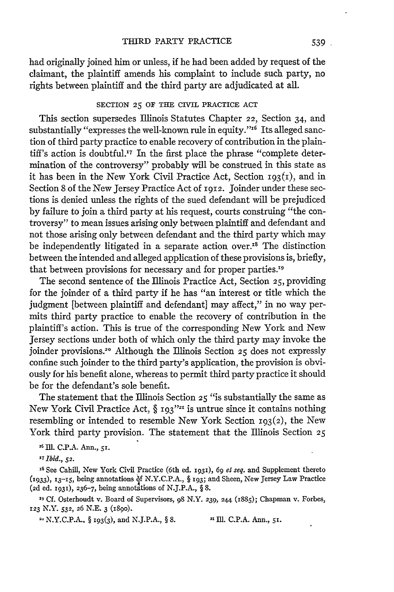had originally joined him or unless, if he had been added by request of the claimant, the plaintiff amends his complaint to include such party, no rights between plaintiff and the third party are adjudicated at all.

## SECTION **25** OF **THE** CIVIL PRACTICE **ACT**

This section supersedes Illinois Statutes Chapter 22, Section 34, and substantially "expresses the well-known rule in equity."<sup>16</sup> Its alleged sanction of third party practice to enable recovery of contribution in the plaintiff's action is doubtful.<sup>17</sup> In the first place the phrase "complete determination of the controversy" probably will be construed in this state as it has been in the New York Civil Practice Act, Section  $193(i)$ , and in Section 8 of the New Jersey Practice Act of 1912. Joinder under these sections is denied unless the rights of the sued defendant will be prejudiced by failure to join a third party at his request, courts construing "the controversy" to mean issues arising only between plaintiff and defendant and not those arising only between defendant and the third party which may be independently litigated in a separate action over. ${}^{18}$  The distinction between the intended and alleged application of these provisions is, briefly, that between provisions for necessary and for proper parties.<sup>19</sup>

The second sentence of the Illinois Practice Act, Section **25,** providing for the joinder of a third party if he has "an interest or title which the judgment [between plaintiff and defendant] may affect," in no way permits third party practice to enable the recovery of contribution in the plaintiff's action. This is true of the corresponding New York and New Jersey sections under both of which only the third party may invoke the joinder provisions.2° Although the Illinois Section **25** does not expressly confine such joinder to the third party's application, the provision is obviously for his benefit alone, whereas to permit third party practice it should be for the defendant's sole benefit.

The statement that the Illinois Section **25** "is substantially the same as New York Civil Practice Act,  $\S$  193<sup>''21</sup> is untrue since it contains nothing resembling or intended to resemble New York Section  $193(2)$ , the New York third party provision. The statement that the Illinois Section **25**

**16** Ill. **C.P.A.** Ann., *51.*

*<sup>17</sup>Ibid., 52.*

**IS** See Cahill, New York Civil Practice (6th ed. i931), *69 el seq.* and Supplement thereto (i933), 13-IS, being annotations **if** N.Y.C.P.A., § **193;** and Sheen, New Jersey Law Practice (2d ed. 193x), 236-7, being annotations of N.J.P.A., § 8.

**19** *CL* Osterhoudt v. Board of Supervisors, **98** N.Y. *239,* 244 (I885); Chapman v. Forbes, **123** N.Y. *532, 26* N.E. 3 (89o).

2. N.Y.C.P.A., § **193(3),** and N.J.P.A., § **8.** 21 Ill. C.P.A. Ann., **5i.**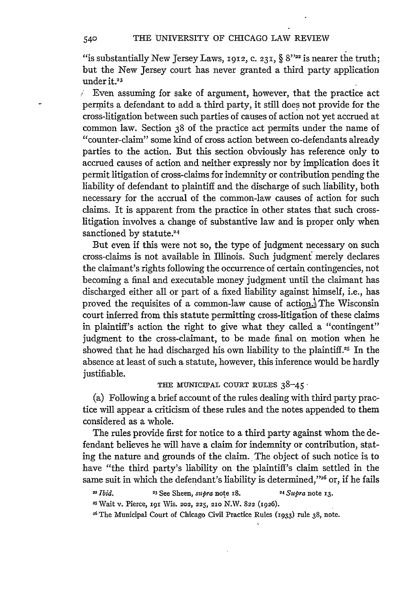"is substantially New Jersey Laws, 1912, **C.** 231, § *8""* is nearer the truth; but the New Jersey court has never granted a third party application under it.<sup>23</sup>

 $\angle$  Even assuming for sake of argument, however, that the practice act permits a defendant to add a third party, it still does not provide for the cross-litigation between such parties of causes of action not yet accrued at common law. Section 38 of the practice act permits under the name of "counter-claim" some kind of cross action between co-defendants already parties to the action. But this section obviously has reference only to accrued causes of action and neither expressly nor by implication does it permit litigation of cross-claims for indemnity or contribution pending the liability of defendant to plaintiff and the discharge of such liability, both necessary for the accrual of the common-law causes of action for such claims. It is apparent from the practice in other states that such crosslitigation involves a change of substantive law and is proper only when sanctioned by statute.<sup>24</sup>

But even if this were not so, the type of judgment necessary on such cross-claims is not available in Illinois. Such judgment merely declares the claimant's rights following the occurrence of certain contingencies, not becoming a final and executable money judgment until the claimant has discharged either all or part of a fixed liability against himself, i.e., has proved the requisites of a common-law cause of action. The Wisconsin court inferred from this statute permitting cross-litigation of these claims in plaintiff's action the right to give what they called a "contingent" judgment to the cross-claimant, to be made final on motion when he showed that he had discharged his own liability to the plaintiff.25 In the absence at least of such a statute, however, this inference would be hardly justifiable.

# THE MUNICIPAL COURT **RULES** 38-45-

(a) Following a brief account of the rules dealing with third party practice will appear a criticism of these rules and the notes appended to them considered as a whole.

The rules provide first for notice to a third party against whom the defendant believes he will have a claim for indemnity or contribution, stating the nature and grounds of the claim. The object of such notice is to have "the third party's liability on the plaintiff's claim settled in the same suit in which the defendant's liability is determined,"<sup>26</sup> or, if he fails

*" Ibid.* **'3** See Sheen, *supra* note i8. 24 Supra note **13.**

25 Wait v. Pierce, **191** Wis. 202, **225, 21o** N.W. **822** (1926).

**26** The Municipal Court of Chicago Civil Practice Rules **(1933)** rule **38,** note.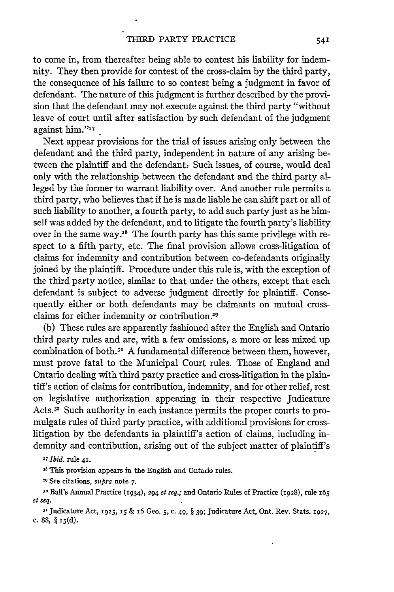to come in, from thereafter being able to contest his liability for indemnity. They then provide for contest of the cross-claim by the third party, the consequence of his failure to so contest being a judgment in favor of defendant. The nature of this judgment is further described by the provision that the defendant may not execute against the third party "without leave of court until after satisfaction by such defendant of the judgment against him."<sup>27</sup>

Next appear provisions for the trial of issues arising only between the defendant and the third party, independent in nature of any arising between the plaintiff and the defendant. Such issues, of course, would deal only with the relationship between the defendant and the third party alleged by the former to warrant liability over. And another rule permits a third party, who believes that if he is made liable he can shift part or all of such liability to another, a fourth party, to add such party just as he himself was added by the defendant, and to litigate the fourth party's liability over in the same way.<sup>28</sup> The fourth party has this same privilege with respect to a fifth party, etc. The final provision allows cross-litigation of claims for indemnity and contribution between co-defendants originally joined by the plaintiff. Procedure under this rule is, with the exception of the third party notice, similar to that under the others, except that each defendant is subject to adverse judgment directly for plaintiff. Consequently either or both defendants may be claimants on mutual crossclaims for either indemnity or contribution.29

(b) These rules are apparently fashioned after the English and Ontario third party rules and are, with a few omissions, a more or less mixed up combination of both.<sup>30</sup> A fundamental difference between them, however, must prove fatal to the Municipal Court rules. Those of England and Ontario dealing with third party practice and cross-litigation in the plaintiff's action of claims for contribution, indemnity, and for other relief, rest on legislative authorization appearing in their respective Judicature Acts.<sup>31</sup> Such authority in each instance permits the proper courts to promulgate rules of third party practice, with additional provisions for crosslitigation by the defendants in plaintiff's action of claims, including indemnity and contribution, arising out of the subject matter of plaintiff's

*<sup>27</sup>Ibid.* rule **41.**

<sup>28</sup> This provision appears in the English and Ontario rules.

*<sup>29</sup>*See citations, *supra* note **7.**

**<sup>30</sup>**Ball's Annual Practice (1934), 294 el *seq.;* and Ontario Rules of Practice (1928), rule <sup>165</sup> el *seq.*

**<sup>31</sup>**Judicature Act, **1925, 15 &** 16 Geo. **5,** c. 49, § **39;** Judicature Act, Ont. Rev. Stats. 1927, **c. 88,** § is(d).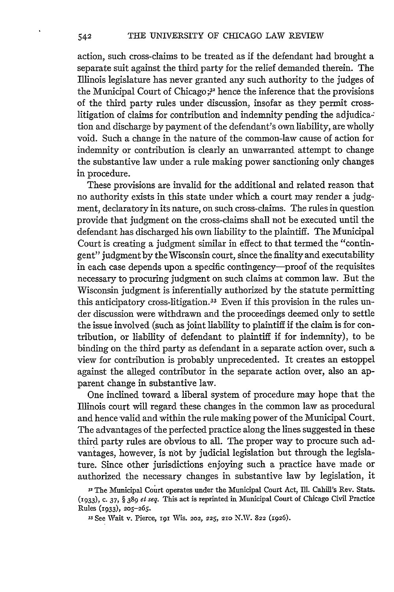action, such cross-claims to be treated as if the defendant had brought a separate suit against the third party for the relief demanded therein. The Illinois legislature has never granted any such authority to the judges of the Municipal Court of Chicago **;,2** hence the inference that the provisions of the third party rules under discussion, insofar as they permit crosslitigation of claims for contribution and indemnity pending the adjudication and discharge by payment of the defendant's own liability, are wholly void. Such a change in the nature of the common-law cause of action for indemnity or contribution is clearly an unwarranted attempt to change the substantive law under a rule making power sanctioning only changes in procedure.

These provisions are invalid for the additional and related reason that no authority exists in this state under which a court may render a judgment, declaratory in its nature, on such cross-claims. The rules in question provide that judgment on the cross-claims shall not be executed until the defendant has discharged his own liability to the plaintiff. The Municipal Court is creating a judgment similar in effect to that termed the "contingent" judgment by the Wisconsin court, since the finality and executability in each case depends upon a specific contingency-proof of the requisites necessary to procuring judgment on such claims at common law. But the Wisconsin judgment is inferentially authorized by the statute permitting this anticipatory cross-litigation.<sup>33</sup> Even if this provision in the rules under discussion were withdrawn and the proceedings deemed only to settle the issue involved (such as joint liability to plaintiff if the claim is for contribution, or liability of defendant to plaintiff if for indemnity), to be binding on the third party as defendant in a separate action over, such a view for contribution is probably unprecedented. It creates an estoppel against the alleged contributor in the separate action over, also an apparent change in substantive law.

One inclined toward a liberal system of procedure may hope that the Illinois court will regard these changes in the common law as procedural and hence valid and within the rule making power of the Municipal Court. The advantages of the perfected practice along the lines suggested in these third party rules are obvious to all. The proper way to procure such advantages, however, is not by judicial legislation but through the legislature. Since other jurisdictions enjoying such a practice have made or authorized the necessary changes in substantive law by legislation, it

**<sup>32</sup>**The Municipal Court operates under the Municipal Court Act, Ill. Cahill's Rev. Stats. **(1933) ,** c. 37, § 389 *et seq.* This act is reprinted in Municipal Court of Chicago Civil Practice Rules (1933), **205-265.**

**<sup>33</sup>** See Wait v. Pierce, **191** Wis. 202, **225, 210** N.W. **822** (1926).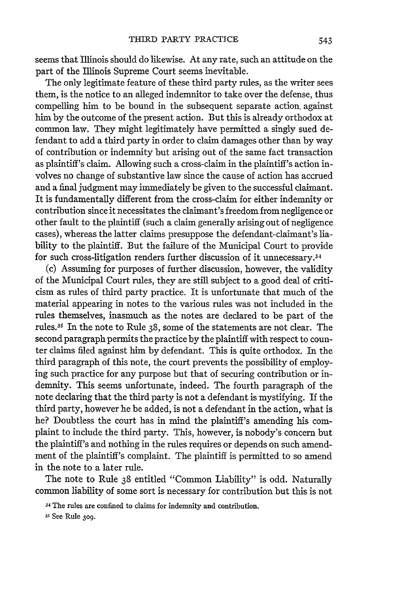seems that Illinois should do likewise. At any rate, such an attitude on the part of the Illinois Supreme Court seems inevitable.

The only legitimate feature of these third party rules, as the writer sees them, is the notice to an alleged indemnitor to take over the defense, thus compelling him to be bound in the subsequent separate action. against him by the outcome of the present action. But this is already orthodox at common law. They might legitimately have permitted a singly sued defendant to add a third party in order to claim damages other than by way of contribution or indemnity but arising out of the same fact transaction as plaintiff's claim. Allowing such a cross-claim in the plaintiff's action involves no change of substantive law since the cause of action has accrued and a final judgment may immediately be given to the successful claimant. It is fundamentally different from the cross-claim for either indemnity or contribution since it necessitates the claimant's freedom from negligence or other fault to the plaintiff (such a claim generally arising out of negligence cases), whereas the latter claims presuppose the defendant-claimant's liability to the plaintiff. But the failure of the Municipal Court to provide for such cross-litigation renders further discussion of it unnecessary.<sup>34</sup>

(c) Assuming for purposes of further discussion, however, the validity of the Municipal Court rules, they are still subject to a good deal of criticism as rules of third party practice. It is unfortunate that much of the material appearing in notes to the various rules was not included in the rules themselves, inasmuch as the notes are declared to be part of the rules.<sup>35</sup> In the note to Rule 38, some of the statements are not clear. The second paragraph permits the practice by the plaintiff with respect to counter claims filed against him by defendant. This is quite orthodox. In the third paragraph of this note, the court prevents the possibility of employing such practice for any purpose but that of securing contribution or indemnity. This seems unfortunate, indeed. The fourth paragraph of the note declaring that the third party is not a defendant is mystifying. If the third party, however he be added, is not a defendant in the action, what is he? Doubtless the court has in mind the plaintiff's amending his complaint to include the third party. This, however, is nobody's concern but the plaintiff's and nothing in the rules requires or depends on such amendment of the plaintiff's complaint. The plaintiff is permitted to so amend in the note to a later rule.

The note to Rule 38 entitled "Common Liability" is odd. Naturally common liability of some sort is necessary for contribution but this is not

**33** See Rule **3o9.**

<sup>34</sup>The rules are confined to claims for indemnity and contribution.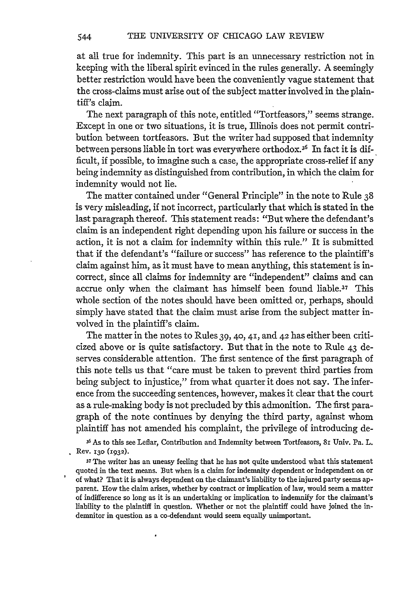at all true for indemnity. This part is an unnecessary restriction not in keeping with the liberal spirit evinced in the rules generally. A seemingly better restriction would have been the conveniently vague statement that the cross-claims must arise out of the subject matter involved in the plaintiff's claim.

The next paragraph of this note, entitled "Tortfeasors," seems strange. Except in one or two situations, it is true, Illinois does not permit contribution between tortfeasors. But the writer had supposed that indemnity between persons liable in tort was everywhere orthodox.<sup>36</sup> In fact it is difficult, if possible, to imagine such a case, the appropriate cross-relief if any being indemnity as distinguished from contribution, in which the claim for indemnity would not lie.

The matter contained under "General Principle" in the note to Rule 38 is very misleading, if not incorrect, particularly that which is stated in the last paragraph thereof. This statement reads: "But where the defendant's claim is an independent right depending upon his failure or success in the action, it is not a claim for indemnity within this rule." It is submitted that if the defendant's "failure or success" has reference to the plaintiff's claim against him, as it must have to mean anything, this statement is incorrect, since all claims for indemnity are "independent" claims and can accrue only when the claimant has himself been found liable.37 This whole section of the notes should have been omitted or, perhaps, should simply have stated that the claim must arise from the subject matter involved in the plaintiff's claim.

The matter in the notes to Rules 39, **40,** 41, and 42 has either been criticized above or is quite satisfactory. But that in the note to Rule 43 deserves considerable attention. The first sentence of the first paragraph of this note tells us that "care must be taken to prevent third parties from being subject to injustice," from what quarter it does not say. The inference from the succeeding sentences, however, makes it clear that the court as a rule-making body is not precluded by this admonition. The first paragraph of the note continues by denying the third party, against whom plaintiff has not amended his complaint, the privilege of introducing de-

**36** As to this see Leflar, Contribution and Indemnity between Tortfeasors, 81 Univ. Pa. L. Rev. **130** (1932).

**<sup>37</sup>**The writer has an uneasy feeling that he has not quite understood what this statement quoted in the text means. But when is a claim **for** indemnity dependent or independent on or of what? That it is always dependent on the claimant's liability to the injured party seems apparent. How the claim arises, whether **by** contract or implication of law, would seem **a** matter of indifference so long as it is an undertaking or implication to indemnify for the claimant's liability to the plaintiff in question. Whether or not the plaintiff could have joined the indemnitor in question as a co-defendant would seem equally unimportant.

 $\cdot$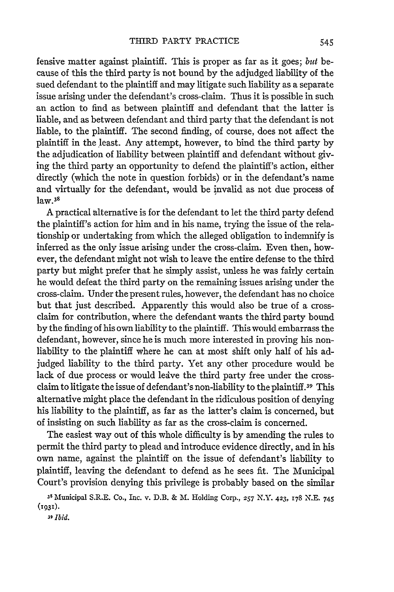fensive matter against plaintiff. This is proper as far as it goes; *but* because of this the third party is not bound by the adjudged liability of the sued defendant to the plaintiff and may litigate such liability as a separate issue arising under the defendant's cross-claim. Thus it is possible in such an action to find as between plaintiff and defendant that the latter is liable, and as between defendant and third party that the defendant is not liable, to the plaintiff. The second finding, of course, does not affect the plaintiff in the least. Any attempt, however, to bind the third party by the adjudication of liability between plaintiff and defendant without giving the third party an opportunity to defend the plaintiff's action, either directly (which the note in question forbids) or in the defendant's name and virtually for the defendant, would be invalid as not due process of law.3<sup>8</sup>

A practical alternative is for the defendant to let the third party defend the plaintiff's action for him and in his name, trying the issue of the relationship or undertaking from which the alleged obligation to indemnify is inferred as the only issue arising under the cross-claim. Even then, however, the defendant might not wish to leave the entire defense to the third party but might prefer that he simply assist, unless he was fairly certain he would defeat the third party on the remaining issues arising under the cross-claim. Under the present rules, however, the defendant has no choice but that just described. Apparently this would also be true of a crossclaim for contribution, where the defendant wants the third party bound by the finding of his own liability to the plaintiff. This would embarrass the defendant, however, since he is much more interested in proving his nonliability to the plaintiff where he can at most shift only half of his adjudged liability to the third party. Yet any other procedure would be lack of due process or would leive the third party free under the crossclaim to litigate the issue of defendant's non-liability to the plaintiff.39 This alternative might place the defendant in the ridiculous position of denying his liability to the plaintiff, as far as the latter's claim is concerned, but of insisting on such liability as far as the cross-claim is concerned.

The easiest way out of this whole difficulty is by amending the rules to permit the third party to plead and introduce evidence directly, and in his own name, against the plaintiff on the issue of defendant's liability to plaintiff, leaving the defendant to defend as he sees fit. The Municipal Court's provision denying this privilege is probably based on the similar

**<sup>38</sup>**Municipal S.R.E. Co., **Inc. v.** D.B. **&** M. Holding Corp., *257* N.Y. 423, **178 N.E.** 745 **(1931).**

*39 Ibid.*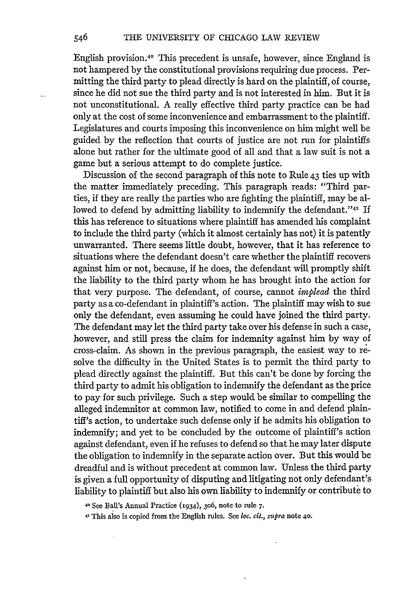English provision.40 This precedent is unsafe, however, since England is not hampered by the constitutional provisions requiring due process. Permitting the third party to plead directly is hard on the plaintiff, of course, since he did not sue the third party and is not interested in him. But it is not unconstitutional. A really effective third party practice can be had only at the cost of some inconvenience and embarrassment to the plaintiff. Legislatures and courts imposing this inconvenience on him might well be guided by the reflection that courts of justice are not run for plaintiffs alone but rather for the ultimate good of all and that a law suit is not a game but a serious attempt to do complete justice.

Discussion of the second paragraph of this note to Rule 43 ties up with the matter immediately preceding. This paragraph reads: "Third parties, if they are really the parties who are fighting the plaintiff, may be allowed to defend by admitting liability to indemnify the defendant."<sup>41</sup> I this has reference to situations where plaintiff has amended his complaint to include the third party (which it almost certainly has not) it is patently unwarranted. There seems little doubt, however, that it has reference to situations where the defendant doesn't care whether the plaintiff recovers against him or not, because, if he does, the defendant will promptly shift the liability to the third party whom he has brought into the action for that very purpose. The defendant, of course, cannot *implead* the third party as a co-defendant in plaintiff's action. The plaintiff may wish to sue only the defendant, even assuming he could have joined the third party. The defendant may let the third party take over his defense in such a case, however, and still press the claim for indemnity against him by way of cross-claim. As shown in the previous paragraph, the easiest way to resolve the difficulty in the United States is to permit the third party to plead directly against the plaintiff. But this can't be done by forcing the third party to admit his obligation to indemnify the defendant as the price to pay for such privilege. Such a step would. be similar to compelling the alleged indemnitor at common law, notified to come in and defend plaintiff's action, to undertake such defense only if he admits his obligation to indemnify; and yet to be concluded by the outcome of plaintiff's action against defendant, even if he refuses to defend so that he may later dispute the obligation to indemnify in the separate action over. But this would be dreadful and is without precedent at common law. Unless the third party is given a full opportunity of disputing and litigating not only defendant's liability to plaintiff but also his own liability to indemnify or contribute to

**<sup>40</sup>**See Bal's Annual Practice (1934), 3o6, note to rule **7.**

4, This also is copied from the English rules. See loc. *cit., supra* note 4o.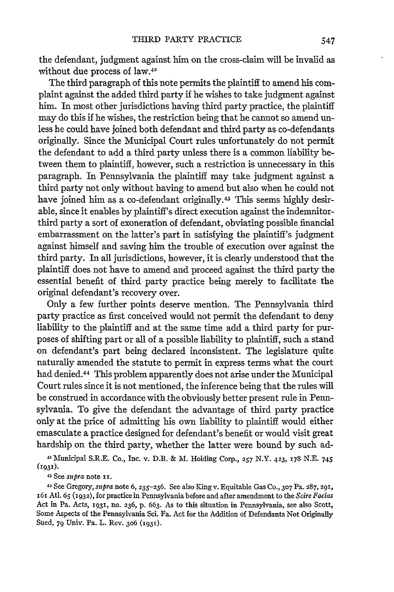the defendant, judgment against him on the cross-claim will be invalid as without due process of law.42

The third paragraph of this note permits the plaintiff to amend his complaint against the added third party if he wishes to take judgment against him. In most other jurisdictions having third party practice, the plaintiff may do this if he wishes, the restriction being that he cannot so amend unless he could have joined both defendant and third party as co-defendants originally. Since the Municipal Court rules unfortunately do not permit the defendant to add a third party unless there is a common liability between them to plaintiff, however, such a restriction is unnecessary in this paragraph. In Pennsylvania the plaintiff may take judgment against a third party not only without having to amend but also when he could not have joined him as a co-defendant originally.43 This seems highly desirable, since it enables by plaintiff's direct execution against the indemnitorthird party a sort of exoneration of defendant, obviating possible financial embarrassment on the latter's part in satisfying the plaintiff's judgment against himself and saving him the trouble of execution over against the third party. In all jurisdictions, however, it is clearly understood that the plaintiff does not have to amend and proceed against the third party the essential benefit of third party practice being merely to facilitate the original defendant's recovery over.

Only a few further points deserve mention. The Pennsylvania third party practice as first conceived would not permit the defendant to deny liability to the plaintiff and at the same time add a third party for purposes of shifting part or all of a possible liability to plaintiff, such a stand on defendant's part being declared inconsistent. The legislature quite naturally amended the statute to permit in express terms what the court had denied. 44 This problem apparently does not arise under the Municipal Court rules since it is not mentioned, the inference being that the rules will be construed in accordance with the obviously better present rule in Pennsylvania. To give the defendant the advantage of third party practice only at the price of admitting his own liability to plaintiff would either emasculate a practice designed for defendant's benefit or would visit great hardship on the third party, whether the latter were bound by such ad-

42' iunicipal S.R.E. Co., Inc. v. D.B. & M. Holding Corp., **257** N.Y. 423, **178** N.E. 745 **(1931).**

43 See *supra* note **xi.**

44 See Gregory, *supra* note **6,** 235-236. See also King v. Equitable Gas **Co., 307** Pa. **287, 291,** 161 Atl. 65 (1932), for practice in Pennsylvania before and after amendment to the *Scire Facias* Act in Pa. Acts, **1931,** no. 236, **p. 663.** As to this situation in Pennsylvania, see also Scott, Some Aspects of the Pennsylvania Sci. **Fa.** Act for the Addition of Defendants Not Originally Sued, **79** Univ. Pa. L. Rev. 3o6 **(i931).**